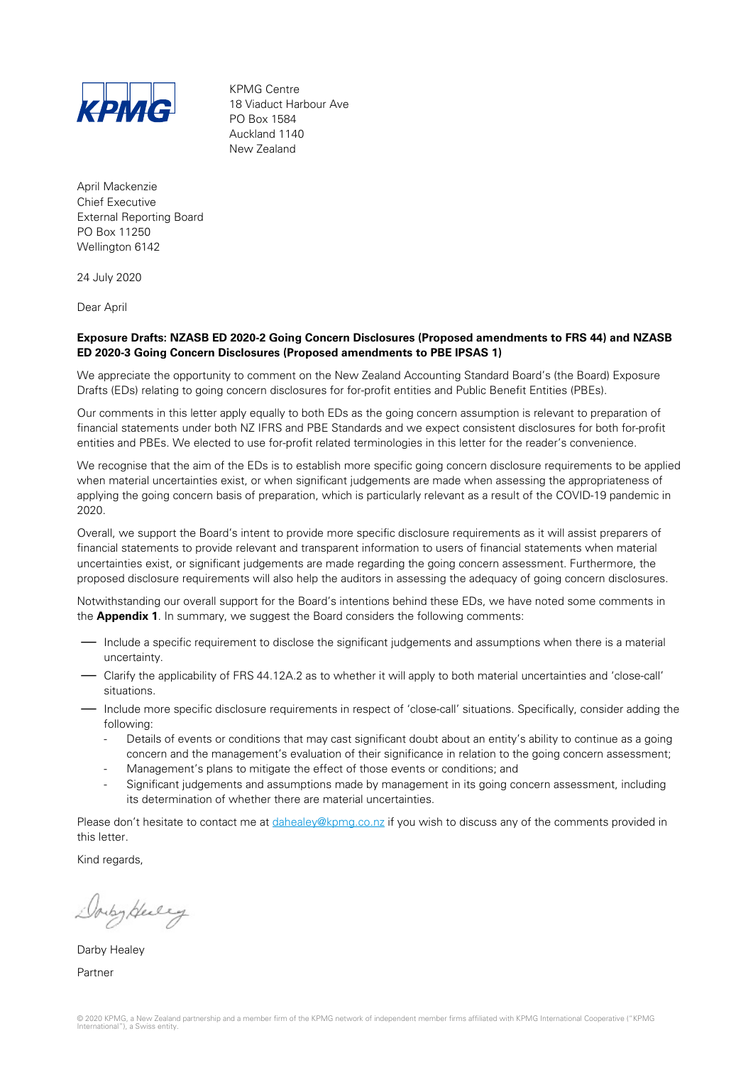

KPMG Centre 18 Viaduct Harbour Ave PO Box 1584 Auckland 1140 New Zealand

April Mackenzie Chief Executive External Reporting Board PO Box 11250 Wellington 6142

24 July 2020

Dear April

### **Exposure Drafts: NZASB ED 2020-2 Going Concern Disclosures (Proposed amendments to FRS 44) and NZASB ED 2020-3 Going Concern Disclosures (Proposed amendments to PBE IPSAS 1)**

We appreciate the opportunity to comment on the New Zealand Accounting Standard Board's (the Board) Exposure Drafts (EDs) relating to going concern disclosures for for-profit entities and Public Benefit Entities (PBEs).

Our comments in this letter apply equally to both EDs as the going concern assumption is relevant to preparation of financial statements under both NZ IFRS and PBE Standards and we expect consistent disclosures for both for-profit entities and PBEs. We elected to use for-profit related terminologies in this letter for the reader's convenience.

We recognise that the aim of the EDs is to establish more specific going concern disclosure requirements to be applied when material uncertainties exist, or when significant judgements are made when assessing the appropriateness of applying the going concern basis of preparation, which is particularly relevant as a result of the COVID-19 pandemic in 2020.

Overall, we support the Board's intent to provide more specific disclosure requirements as it will assist preparers of financial statements to provide relevant and transparent information to users of financial statements when material uncertainties exist, or significant judgements are made regarding the going concern assessment. Furthermore, the proposed disclosure requirements will also help the auditors in assessing the adequacy of going concern disclosures.

Notwithstanding our overall support for the Board's intentions behind these EDs, we have noted some comments in the **Appendix 1**. In summary, we suggest the Board considers the following comments:

- Include a specific requirement to disclose the significant judgements and assumptions when there is a material uncertainty.
- Clarify the applicability of FRS 44.12A.2 as to whether it will apply to both material uncertainties and 'close-call' situations.
- Include more specific disclosure requirements in respect of 'close-call' situations. Specifically, consider adding the following:
	- Details of events or conditions that may cast significant doubt about an entity's ability to continue as a going concern and the management's evaluation of their significance in relation to the going concern assessment;
	- Management's plans to mitigate the effect of those events or conditions; and
	- Significant judgements and assumptions made by management in its going concern assessment, including its determination of whether there are material uncertainties.

Please don't hesitate to contact me at [dahealey@kpmg.co.nz](mailto:dahealey@kpmg.co.nz) if you wish to discuss any of the comments provided in this letter.

Kind regards,

Douby Here y

Darby Healey Partner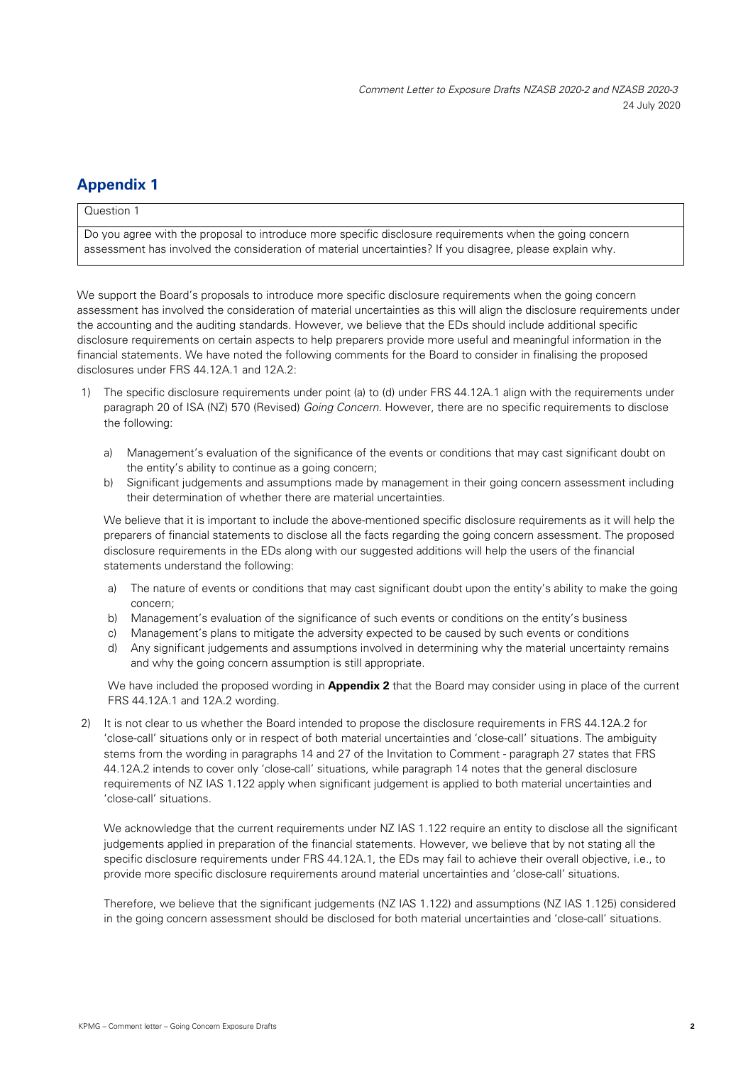# **Appendix 1**

## Question 1

Do you agree with the proposal to introduce more specific disclosure requirements when the going concern assessment has involved the consideration of material uncertainties? If you disagree, please explain why.

We support the Board's proposals to introduce more specific disclosure requirements when the going concern assessment has involved the consideration of material uncertainties as this will align the disclosure requirements under the accounting and the auditing standards. However, we believe that the EDs should include additional specific disclosure requirements on certain aspects to help preparers provide more useful and meaningful information in the financial statements. We have noted the following comments for the Board to consider in finalising the proposed disclosures under FRS 44.12A.1 and 12A.2:

- 1) The specific disclosure requirements under point (a) to (d) under FRS 44.12A.1 align with the requirements under paragraph 20 of ISA (NZ) 570 (Revised) *Going Concern.* However, there are no specific requirements to disclose the following:
	- a) Management's evaluation of the significance of the events or conditions that may cast significant doubt on the entity's ability to continue as a going concern;
	- b) Significant judgements and assumptions made by management in their going concern assessment including their determination of whether there are material uncertainties.

We believe that it is important to include the above-mentioned specific disclosure requirements as it will help the preparers of financial statements to disclose all the facts regarding the going concern assessment. The proposed disclosure requirements in the EDs along with our suggested additions will help the users of the financial statements understand the following:

- a) The nature of events or conditions that may cast significant doubt upon the entity's ability to make the going concern;
- b) Management's evaluation of the significance of such events or conditions on the entity's business
- c) Management's plans to mitigate the adversity expected to be caused by such events or conditions
- d) Any significant judgements and assumptions involved in determining why the material uncertainty remains and why the going concern assumption is still appropriate.

We have included the proposed wording in **Appendix 2** that the Board may consider using in place of the current FRS 44.12A.1 and 12A.2 wording.

2) It is not clear to us whether the Board intended to propose the disclosure requirements in FRS 44.12A.2 for 'close-call' situations only or in respect of both material uncertainties and 'close-call' situations. The ambiguity stems from the wording in paragraphs 14 and 27 of the Invitation to Comment - paragraph 27 states that FRS 44.12A.2 intends to cover only 'close-call' situations, while paragraph 14 notes that the general disclosure requirements of NZ IAS 1.122 apply when significant judgement is applied to both material uncertainties and 'close-call' situations.

We acknowledge that the current requirements under NZ IAS 1.122 require an entity to disclose all the significant judgements applied in preparation of the financial statements. However, we believe that by not stating all the specific disclosure requirements under FRS 44.12A.1, the EDs may fail to achieve their overall objective, i.e., to provide more specific disclosure requirements around material uncertainties and 'close-call' situations.

Therefore, we believe that the significant judgements (NZ IAS 1.122) and assumptions (NZ IAS 1.125) considered in the going concern assessment should be disclosed for both material uncertainties and 'close-call' situations.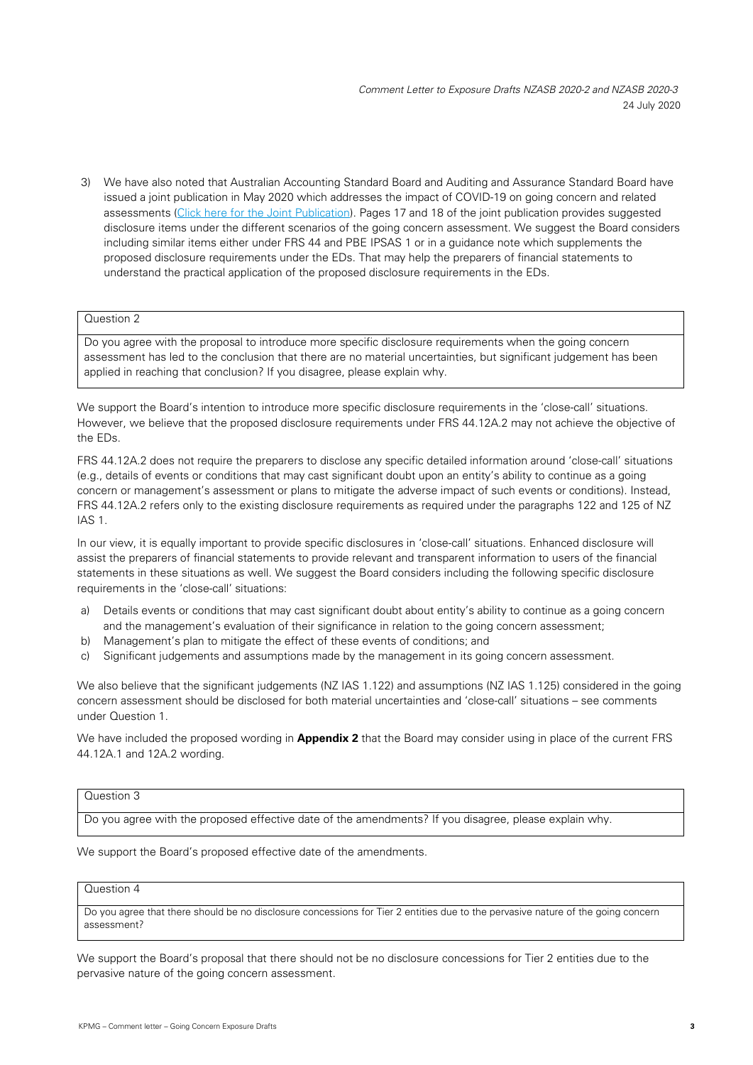*Comment Letter to Exposure Drafts NZASB 2020-2 and NZASB 2020-3*  24 July 2020

3) We have also noted that Australian Accounting Standard Board and Auditing and Assurance Standard Board have issued a joint publication in May 2020 which addresses the impact of COVID-19 on going concern and related assessments [\(Click here for the Joint Publication\)](https://www.aasb.gov.au/admin/file/content102/c3/AASB-AUASB_TheImpactOfCOVID19_05-19.pdf). Pages 17 and 18 of the joint publication provides suggested disclosure items under the different scenarios of the going concern assessment. We suggest the Board considers including similar items either under FRS 44 and PBE IPSAS 1 or in a guidance note which supplements the proposed disclosure requirements under the EDs. That may help the preparers of financial statements to understand the practical application of the proposed disclosure requirements in the EDs.

#### Question 2

Do you agree with the proposal to introduce more specific disclosure requirements when the going concern assessment has led to the conclusion that there are no material uncertainties, but significant judgement has been applied in reaching that conclusion? If you disagree, please explain why.

We support the Board's intention to introduce more specific disclosure requirements in the 'close-call' situations. However, we believe that the proposed disclosure requirements under FRS 44.12A.2 may not achieve the objective of the EDs.

FRS 44.12A.2 does not require the preparers to disclose any specific detailed information around 'close-call' situations (e.g., details of events or conditions that may cast significant doubt upon an entity's ability to continue as a going concern or management's assessment or plans to mitigate the adverse impact of such events or conditions). Instead, FRS 44.12A.2 refers only to the existing disclosure requirements as required under the paragraphs 122 and 125 of NZ IAS 1.

In our view, it is equally important to provide specific disclosures in 'close-call' situations. Enhanced disclosure will assist the preparers of financial statements to provide relevant and transparent information to users of the financial statements in these situations as well. We suggest the Board considers including the following specific disclosure requirements in the 'close-call' situations:

- a) Details events or conditions that may cast significant doubt about entity's ability to continue as a going concern and the management's evaluation of their significance in relation to the going concern assessment;
- b) Management's plan to mitigate the effect of these events of conditions; and
- c) Significant judgements and assumptions made by the management in its going concern assessment.

We also believe that the significant judgements (NZ IAS 1.122) and assumptions (NZ IAS 1.125) considered in the going concern assessment should be disclosed for both material uncertainties and 'close-call' situations – see comments under Question 1.

We have included the proposed wording in **Appendix 2** that the Board may consider using in place of the current FRS 44.12A.1 and 12A.2 wording.

#### Question 3

Do you agree with the proposed effective date of the amendments? If you disagree, please explain why.

We support the Board's proposed effective date of the amendments.

#### Question 4

Do you agree that there should be no disclosure concessions for Tier 2 entities due to the pervasive nature of the going concern assessment?

We support the Board's proposal that there should not be no disclosure concessions for Tier 2 entities due to the pervasive nature of the going concern assessment.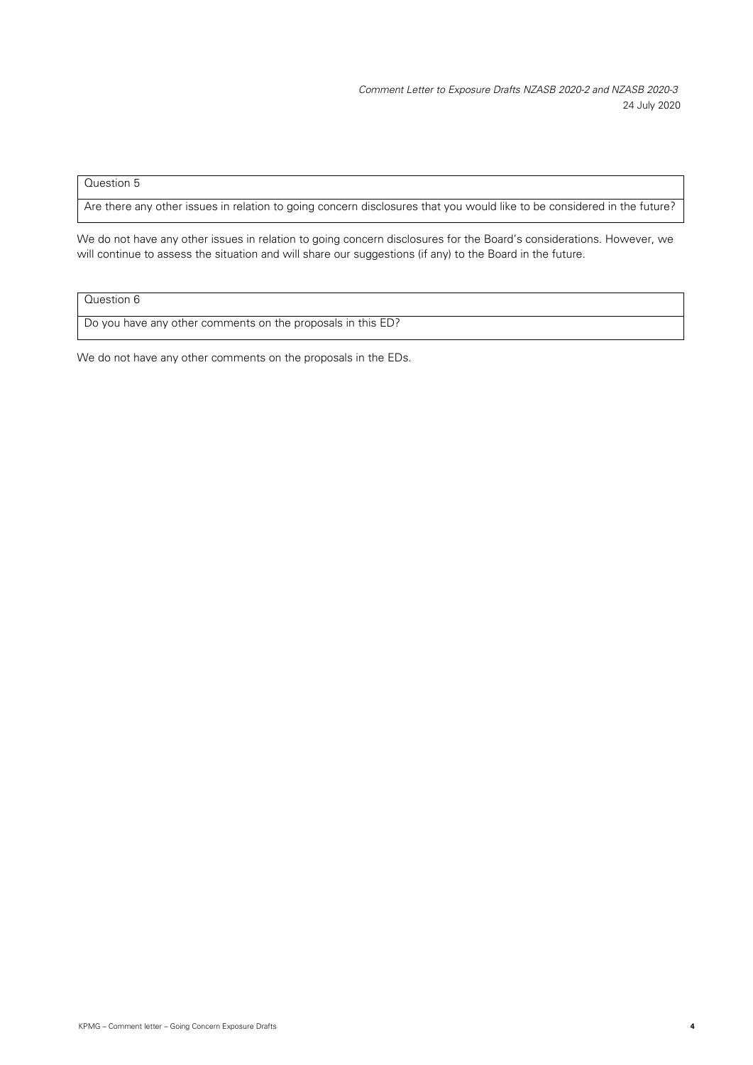*Comment Letter to Exposure Drafts NZASB 2020-2 and NZASB 2020-3*  24 July 2020

# Question 5

Are there any other issues in relation to going concern disclosures that you would like to be considered in the future?

We do not have any other issues in relation to going concern disclosures for the Board's considerations. However, we will continue to assess the situation and will share our suggestions (if any) to the Board in the future.

Question 6

Do you have any other comments on the proposals in this ED?

We do not have any other comments on the proposals in the EDs.